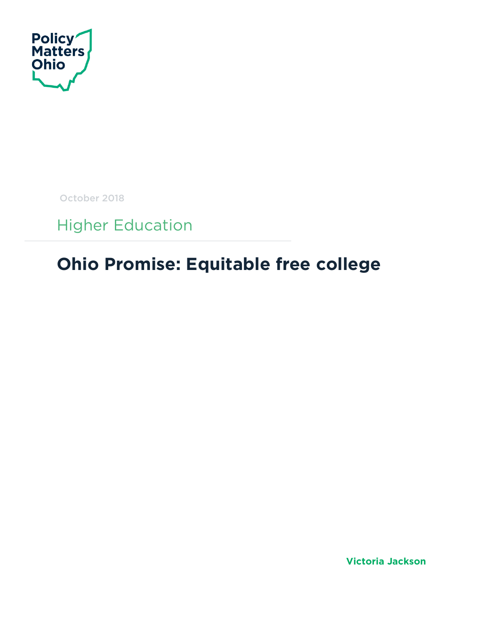

October 2018

Higher Education

## **Ohio Promise: Equitable free college**

**Victoria Jackson**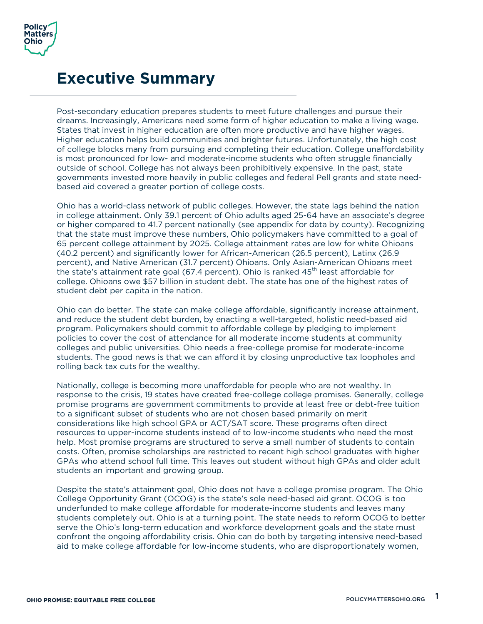

### **Executive Summary**

Post-secondary education prepares students to meet future challenges and pursue their dreams. Increasingly, Americans need some form of higher education to make a living wage. States that invest in higher education are often more productive and have higher wages. Higher education helps build communities and brighter futures. Unfortunately, the high cost of college blocks many from pursuing and completing their education. College unaffordability is most pronounced for low- and moderate-income students who often struggle financially outside of school. College has not always been prohibitively expensive. In the past, state governments invested more heavily in public colleges and federal Pell grants and state needbased aid covered a greater portion of college costs.

Ohio has a world-class network of public colleges. However, the state lags behind the nation in college attainment. Only 39.1 percent of Ohio adults aged 25-64 have an associate's degree or higher compared to 41.7 percent nationally (see appendix for data by county). Recognizing that the state must improve these numbers, Ohio policymakers have committed to a goal of 65 percent college attainment by 2025. College attainment rates are low for white Ohioans (40.2 percent) and significantly lower for African-American (26.5 percent), Latinx (26.9 percent), and Native American (31.7 percent) Ohioans. Only Asian-American Ohioans meet the state's attainment rate goal (67.4 percent). Ohio is ranked  $45<sup>th</sup>$  least affordable for college. Ohioans owe \$57 billion in student debt. The state has one of the highest rates of student debt per capita in the nation.

Ohio can do better. The state can make college affordable, significantly increase attainment, and reduce the student debt burden, by enacting a well-targeted, holistic need-based aid program. Policymakers should commit to affordable college by pledging to implement policies to cover the cost of attendance for all moderate income students at community colleges and public universities. Ohio needs a free-college promise for moderate-income students. The good news is that we can afford it by closing unproductive tax loopholes and rolling back tax cuts for the wealthy.

Nationally, college is becoming more unaffordable for people who are not wealthy. In response to the crisis, 19 states have created free-college college promises. Generally, college promise programs are government commitments to provide at least free or debt-free tuition to a significant subset of students who are not chosen based primarily on merit considerations like high school GPA or ACT/SAT score. These programs often direct resources to upper-income students instead of to low-income students who need the most help. Most promise programs are structured to serve a small number of students to contain costs. Often, promise scholarships are restricted to recent high school graduates with higher GPAs who attend school full time. This leaves out student without high GPAs and older adult students an important and growing group.

Despite the state's attainment goal, Ohio does not have a college promise program. The Ohio College Opportunity Grant (OCOG) is the state's sole need-based aid grant. OCOG is too underfunded to make college affordable for moderate-income students and leaves many students completely out. Ohio is at a turning point. The state needs to reform OCOG to better serve the Ohio's long-term education and workforce development goals and the state must confront the ongoing affordability crisis. Ohio can do both by targeting intensive need-based aid to make college affordable for low-income students, who are disproportionately women,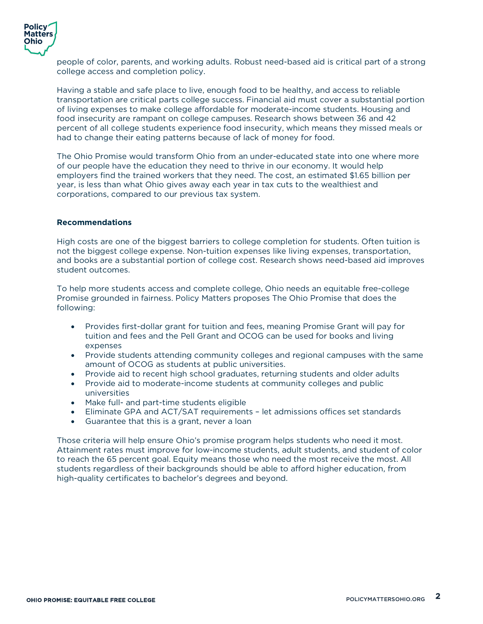

people of color, parents, and working adults. Robust need-based aid is critical part of a strong college access and completion policy.

Having a stable and safe place to live, enough food to be healthy, and access to reliable transportation are critical parts college success. Financial aid must cover a substantial portion of living expenses to make college affordable for moderate-income students. Housing and food insecurity are rampant on college campuses. Research shows between 36 and 42 percent of all college students experience food insecurity, which means they missed meals or had to change their eating patterns because of lack of money for food.

The Ohio Promise would transform Ohio from an under-educated state into one where more of our people have the education they need to thrive in our economy. It would help employers find the trained workers that they need. The cost, an estimated \$1.65 billion per year, is less than what Ohio gives away each year in tax cuts to the wealthiest and corporations, compared to our previous tax system.

#### **Recommendations**

High costs are one of the biggest barriers to college completion for students. Often tuition is not the biggest college expense. Non-tuition expenses like living expenses, transportation, and books are a substantial portion of college cost. Research shows need-based aid improves student outcomes.

To help more students access and complete college, Ohio needs an equitable free-college Promise grounded in fairness. Policy Matters proposes The Ohio Promise that does the following:

- Provides first-dollar grant for tuition and fees, meaning Promise Grant will pay for tuition and fees and the Pell Grant and OCOG can be used for books and living expenses
- Provide students attending community colleges and regional campuses with the same amount of OCOG as students at public universities.
- Provide aid to recent high school graduates, returning students and older adults
- Provide aid to moderate-income students at community colleges and public universities
- Make full- and part-time students eligible
- Eliminate GPA and ACT/SAT requirements let admissions offices set standards
- Guarantee that this is a grant, never a loan

Those criteria will help ensure Ohio's promise program helps students who need it most. Attainment rates must improve for low-income students, adult students, and student of color to reach the 65 percent goal. Equity means those who need the most receive the most. All students regardless of their backgrounds should be able to afford higher education, from high-quality certificates to bachelor's degrees and beyond.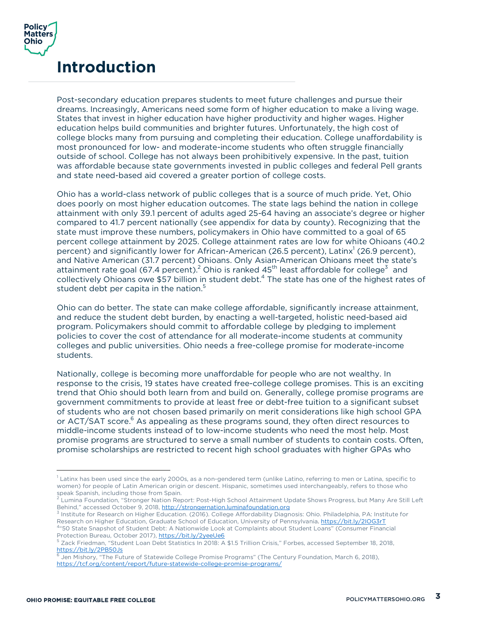

### **Introduction**

Post-secondary education prepares students to meet future challenges and pursue their dreams. Increasingly, Americans need some form of higher education to make a living wage. States that invest in higher education have higher productivity and higher wages. Higher education helps build communities and brighter futures. Unfortunately, the high cost of college blocks many from pursuing and completing their education. College unaffordability is most pronounced for low- and moderate-income students who often struggle financially outside of school. College has not always been prohibitively expensive. In the past, tuition was affordable because state governments invested in public colleges and federal Pell grants and state need-based aid covered a greater portion of college costs.

Ohio has a world-class network of public colleges that is a source of much pride. Yet, Ohio does poorly on most higher education outcomes. The state lags behind the nation in college attainment with only 39.1 percent of adults aged 25-64 having an associate's degree or higher compared to 41.7 percent nationally (see appendix for data by county). Recognizing that the state must improve these numbers, policymakers in Ohio have committed to a goal of 65 percent college attainment by 2025. College attainment rates are low for white Ohioans (40.2 percent) and significantly lower for African-American (26.5 percent), Latinx<sup>1</sup> (26.9 percent), and Native American (31.7 percent) Ohioans. Only Asian-American Ohioans meet the state's attainment rate goal (67.4 percent).<sup>2</sup> Ohio is ranked  $45<sup>th</sup>$  least affordable for college<sup>3</sup> and collectively Ohioans owe \$57 billion in student debt.4 The state has one of the highest rates of student debt per capita in the nation. 5

Ohio can do better. The state can make college affordable, significantly increase attainment, and reduce the student debt burden, by enacting a well-targeted, holistic need-based aid program. Policymakers should commit to affordable college by pledging to implement policies to cover the cost of attendance for all moderate-income students at community colleges and public universities. Ohio needs a free-college promise for moderate-income students.

Nationally, college is becoming more unaffordable for people who are not wealthy. In response to the crisis, 19 states have created free-college college promises. This is an exciting trend that Ohio should both learn from and build on. Generally, college promise programs are government commitments to provide at least free or debt-free tuition to a significant subset of students who are not chosen based primarily on merit considerations like high school GPA or ACT/SAT score.<sup>6</sup> As appealing as these programs sound, they often direct resources to middle-income students instead of to low-income students who need the most help. Most promise programs are structured to serve a small number of students to contain costs. Often, promise scholarships are restricted to recent high school graduates with higher GPAs who

 $1$  Latinx has been used since the early 2000s, as a non-gendered term (unlike Latino, referring to men or Latina, specific to women) for people of Latin American origin or descent. Hispanic, sometimes used interchangeably, refers to those who<br>speak Spanish, including those from Spain.

Lumina Foundation, "Stronger Nation Report: Post-High School Attainment Update Shows Progress, but Many Are Still Left Behind," accessed October 9, 2018, http://strongernation.luminafoundation.org

<sup>3</sup> Institute for Research on Higher Education. (2016). College Affordability Diagnosis: Ohio. Philadelphia, PA: Institute for Research on Higher Education, Graduate School of Education, University of Pennsylvania. https://bit.ly/2IOG3rT 4 "50 State Snapshot of Student Debt: A Nationwide Look at Complaints about Student Loans" (Consumer Financial Protection Bureau, October 2017), https://bit.ly/2yeeUe6

<sup>5</sup> Zack Friedman, "Student Loan Debt Statistics In 2018: A \$1.5 Trillion Crisis," Forbes, accessed September 18, 2018, https://bit.ly/2PB50Js

Jen Mishory, "The Future of Statewide College Promise Programs" (The Century Foundation, March 6, 2018), https://tcf.org/content/report/future-statewide-college-promise-programs/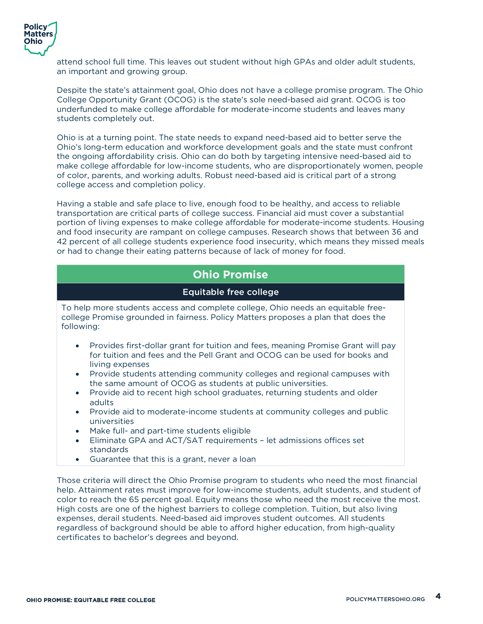

attend school full time. This leaves out student without high GPAs and older adult students, an important and growing group.

Despite the state's attainment goal, Ohio does not have a college promise program. The Ohio College Opportunity Grant (OCOG) is the state's sole need-based aid grant. OCOG is too underfunded to make college affordable for moderate-income students and leaves many students completely out.

Ohio is at a turning point. The state needs to expand need-based aid to better serve the Ohio's long-term education and workforce development goals and the state must confront the ongoing affordability crisis. Ohio can do both by targeting intensive need-based aid to make college affordable for low-income students, who are disproportionately women, people of color, parents, and working adults. Robust need-based aid is critical part of a strong college access and completion policy.

Having a stable and safe place to live, enough food to be healthy, and access to reliable transportation are critical parts of college success. Financial aid must cover a substantial portion of living expenses to make college affordable for moderate-income students. Housing and food insecurity are rampant on college campuses. Research shows that between 36 and 42 percent of all college students experience food insecurity, which means they missed meals or had to change their eating patterns because of lack of money for food.

#### **Ohio Promise**

#### Equitable free college

To help more students access and complete college, Ohio needs an equitable freecollege Promise grounded in fairness. Policy Matters proposes a plan that does the following:

- Provides first-dollar grant for tuition and fees, meaning Promise Grant will pay for tuition and fees and the Pell Grant and OCOG can be used for books and living expenses
- Provide students attending community colleges and regional campuses with the same amount of OCOG as students at public universities.
- Provide aid to recent high school graduates, returning students and older adults
- Provide aid to moderate-income students at community colleges and public universities
- Make full- and part-time students eligible
- Eliminate GPA and ACT/SAT requirements let admissions offices set standards
- Guarantee that this is a grant, never a loan

Those criteria will direct the Ohio Promise program to students who need the most financial help. Attainment rates must improve for low-income students, adult students, and student of color to reach the 65 percent goal. Equity means those who need the most receive the most. High costs are one of the highest barriers to college completion. Tuition, but also living expenses, derail students. Need-based aid improves student outcomes. All students regardless of background should be able to afford higher education, from high-quality certificates to bachelor's degrees and beyond.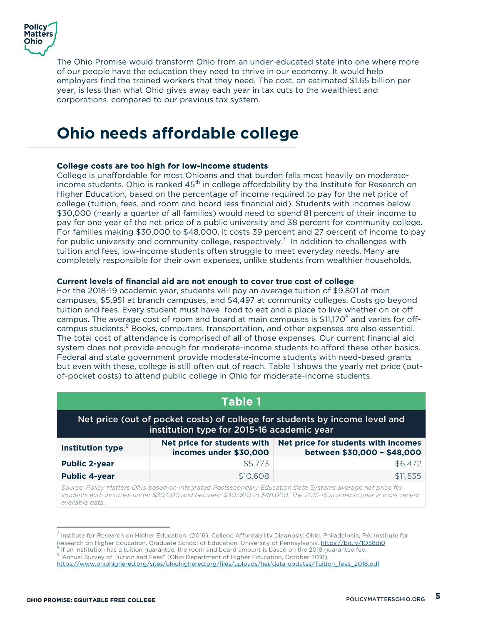

The Ohio Promise would transform Ohio from an under-educated state into one where more of our people have the education they need to thrive in our economy. It would help employers find the trained workers that they need. The cost, an estimated \$1.65 billion per year, is less than what Ohio gives away each year in tax cuts to the wealthiest and corporations, compared to our previous tax system.

## **Ohio needs affordable college**

#### College costs are too high for low-income students

College is unaffordable for most Ohioans and that burden falls most heavily on moderateincome students. Ohio is ranked  $45<sup>th</sup>$  in college affordability by the Institute for Research on Higher Education, based on the percentage of income required to pay for the net price of college (tuition, fees, and room and board less financial aid). Students with incomes below \$30,000 (nearly a quarter of all families) would need to spend 81 percent of their income to pay for one year of the net price of a public university and 38 percent for community college. For families making \$30,000 to \$48,000, it costs 39 percent and 27 percent of income to pay for public university and community college, respectively.<sup>7</sup> In addition to challenges with tuition and fees, low-income students often struggle to meet everyday needs. Many are completely responsible for their own expenses, unlike students from wealthier households.

#### **Current levels of financial aid are not enough to cover true cost of college**

For the 2018-19 academic year, students will pay an average tuition of \$9,801 at main campuses, \$5,951 at branch campuses, and \$4,497 at community colleges. Costs go beyond tuition and fees. Every student must have food to eat and a place to live whether on or off campus. The average cost of room and board at main campuses is  $$11,170^8$  and varies for offcampus students.<sup>9</sup> Books, computers, transportation, and other expenses are also essential. The total cost of attendance is comprised of all of those expenses. Our current financial aid system does not provide enough for moderate-income students to afford these other basics. Federal and state government provide moderate-income students with need-based grants but even with these, college is still often out of reach. Table 1 shows the yearly net price (outof-pocket costs) to attend public college in Ohio for moderate-income students.

| Table 1                                                                                                                                                                                                                                          |          |          |  |  |
|--------------------------------------------------------------------------------------------------------------------------------------------------------------------------------------------------------------------------------------------------|----------|----------|--|--|
| Net price (out of pocket costs) of college for students by income level and<br>institution type for 2015-16 academic year                                                                                                                        |          |          |  |  |
| Net price for students with incomes<br>Net price for students with<br><b>Institution type</b><br>between \$30,000 - \$48,000<br>incomes under \$30,000                                                                                           |          |          |  |  |
| <b>Public 2-year</b>                                                                                                                                                                                                                             | \$5,773  | \$6,472  |  |  |
| <b>Public 4-year</b>                                                                                                                                                                                                                             | \$10,608 | \$11,535 |  |  |
| Source: Policy Matters Ohio based on Integrated Postsecondary Education Data Systems average net price for<br>students with incomes under \$30,000 and between \$30,000 to \$48,000. The 2015-16 academic year is most recent<br>available data. |          |          |  |  |

<sup>7</sup> Institute for Research on Higher Education. (2016). College Affordability Diagnosis: Ohio. Philadelphia, PA: Institute for Research on Higher Education, Graduate School of Education, University of Pennsylvania. https://bit.ly/1O58dj0<br><sup>8</sup> If an institution has a tuition guarantee, the room and board amount is based on the 2018 guarantee fee.

<sup>&</sup>lt;sup>9</sup> Annual Survey of Tuition and Fees" (Ohio Department of Higher Education, October 2018), https://www.ohiohighered.org/sites/ohiohighered.org/files/uploads/hei/data-updates/Tuition\_fees\_2018.pdf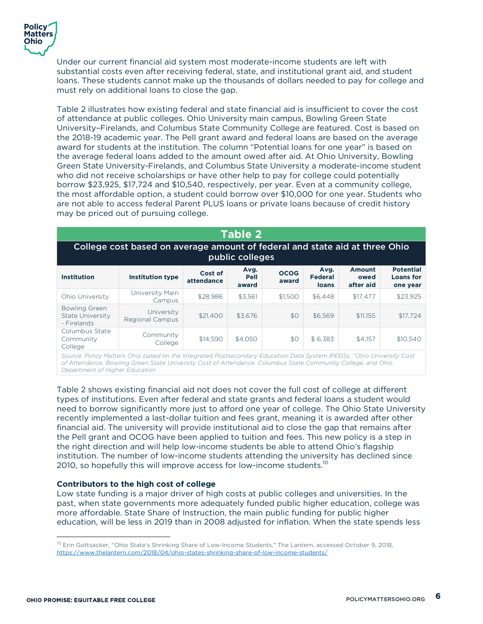

Under our current financial aid system most moderate-income students are left with substantial costs even after receiving federal, state, and institutional grant aid, and student loans. These students cannot make up the thousands of dollars needed to pay for college and must rely on additional loans to close the gap.

Table 2 illustrates how existing federal and state financial aid is insufficient to cover the cost of attendance at public colleges. Ohio University main campus, Bowling Green State University–Firelands, and Columbus State Community College are featured. Cost is based on the 2018-19 academic year. The Pell grant award and federal loans are based on the average award for students at the institution. The column "Potential loans for one year" is based on the average federal loans added to the amount owed after aid. At Ohio University, Bowling Green State University-Firelands, and Columbus State University a moderate-income student who did not receive scholarships or have other help to pay for college could potentially borrow \$23,925, \$17,724 and \$10,540, respectively, per year. Even at a community college, the most affordable option, a student could borrow over \$10,000 for one year. Students who are not able to access federal Parent PLUS loans or private loans because of credit history may be priced out of pursuing college.

| Table 2                                                                                        |                               |                       |                              |                      |                                        |                                    |                                                  |
|------------------------------------------------------------------------------------------------|-------------------------------|-----------------------|------------------------------|----------------------|----------------------------------------|------------------------------------|--------------------------------------------------|
| College cost based on average amount of federal and state aid at three Ohio<br>public colleges |                               |                       |                              |                      |                                        |                                    |                                                  |
| <b>Institution</b>                                                                             | <b>Institution type</b>       | Cost of<br>attendance | Avg.<br><b>Pell</b><br>award | <b>OCOG</b><br>award | Avg.<br><b>Federal</b><br><b>loans</b> | <b>Amount</b><br>owed<br>after aid | <b>Potential</b><br><b>Loans</b> for<br>one year |
| Ohio University                                                                                | University Main<br>Campus     | \$28,986              | \$3.561                      | \$1.500              | \$6.448                                | \$17.477                           | \$23.925                                         |
| <b>Bowling Green</b><br>State University<br>- Firelands                                        | University<br>Regional Campus | \$21,400              | \$3.676                      | \$0                  | \$6.569                                | \$11,155                           | \$17.724                                         |
| Columbus State<br>Community<br>College                                                         | Community<br>College          | \$14,590              | \$4.050                      | \$0                  | \$ 6.383                               | \$4,157                            | \$10,540                                         |

*Source: Policy Matters Ohio based on the Integrated Postsecondary Education Data System IPEDSs, "Ohio University Cost of Attendance, Bowling Green State University Cost of Attendance, Columbus State Community College, and Ohio Department of Higher Education*

Table 2 shows existing financial aid not does not cover the full cost of college at different types of institutions. Even after federal and state grants and federal loans a student would need to borrow significantly more just to afford one year of college. The Ohio State University recently implemented a last-dollar tuition and fees grant, meaning it is awarded after other financial aid. The university will provide institutional aid to close the gap that remains after the Pell grant and OCOG have been applied to tuition and fees. This new policy is a step in the right direction and will help low-income students be able to attend Ohio's flagship institution. The number of low-income students attending the university has declined since 2010, so hopefully this will improve access for low-income students.<sup>10</sup>

#### **Contributors to the high cost of college**

Low state funding is a major driver of high costs at public colleges and universities. In the past, when state governments more adequately funded public higher education, college was more affordable. State Share of Instruction, the main public funding for public higher education, will be less in 2019 than in 2008 adjusted for inflation. When the state spends less

<sup>&</sup>lt;sup>10</sup> Erin Gottsacker, "Ohio State's Shrinking Share of Low-Income Students," The Lantern, accessed October 9, 2018, https://www.thelantern.com/2018/04/ohio-states-shrinking-share-of-low-income-students/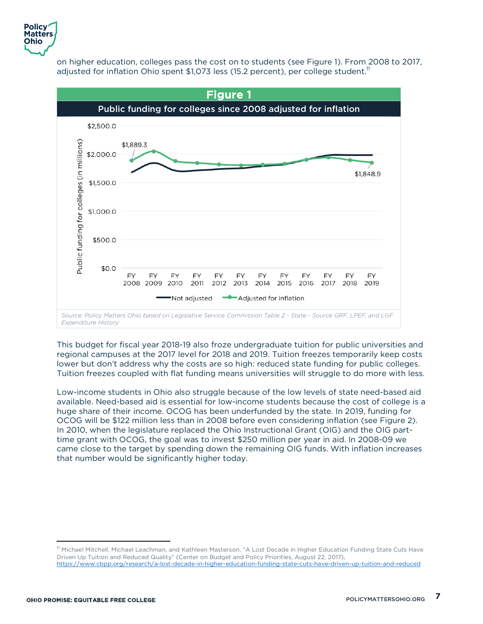

on higher education, colleges pass the cost on to students (see Figure 1). From 2008 to 2017, adjusted for inflation Ohio spent \$1,073 less (15.2 percent), per college student.<sup>11</sup>



This budget for fiscal year 2018-19 also froze undergraduate tuition for public universities and regional campuses at the 2017 level for 2018 and 2019. Tuition freezes temporarily keep costs lower but don't address why the costs are so high: reduced state funding for public colleges. Tuition freezes coupled with flat funding means universities will struggle to do more with less.

Low-income students in Ohio also struggle because of the low levels of state need-based aid available. Need-based aid is essential for low-income students because the cost of college is a huge share of their income. OCOG has been underfunded by the state. In 2019, funding for OCOG will be \$122 million less than in 2008 before even considering inflation (see Figure 2). In 2010, when the legislature replaced the Ohio Instructional Grant (OIG) and the OIG parttime grant with OCOG, the goal was to invest \$250 million per year in aid. In 2008-09 we came close to the target by spending down the remaining OIG funds. With inflation increases that number would be significantly higher today.

<sup>&</sup>lt;sup>11</sup> Michael Mitchell, Michael Leachman, and Kathleen Masterson, "A Lost Decade in Higher Education Funding State Cuts Have Driven Up Tuition and Reduced Quality" (Center on Budget and Policy Priorities, August 22, 2017), https://www.cbpp.org/research/a-lost-decade-in-higher-education-funding-state-cuts-have-driven-up-tuition-and-reduced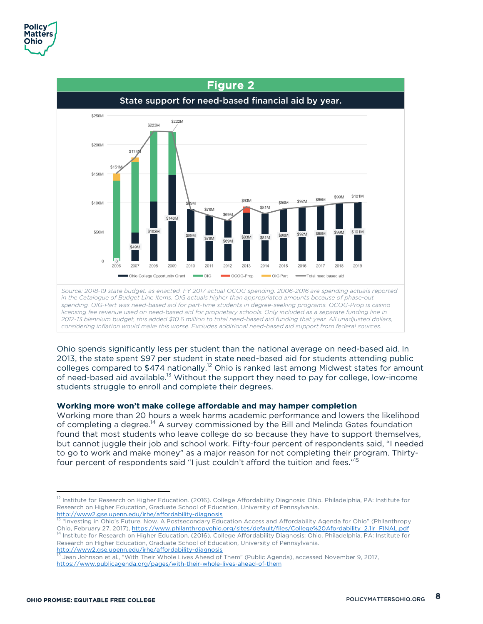

Ohio spends significantly less per student than the national average on need-based aid. In 2013, the state spent \$97 per student in state need-based aid for students attending public colleges compared to \$474 nationally.<sup>12</sup> Ohio is ranked last among Midwest states for amount of need-based aid available.<sup>13</sup> Without the support they need to pay for college, low-income students struggle to enroll and complete their degrees.

#### **Working more won't make college affordable and may hamper completion**

Working more than 20 hours a week harms academic performance and lowers the likelihood of completing a degree.14 A survey commissioned by the Bill and Melinda Gates foundation found that most students who leave college do so because they have to support themselves, but cannot juggle their job and school work. Fifty-four percent of respondents said, "I needed to go to work and make money" as a major reason for not completing their program. Thirtyfour percent of respondents said "I just couldn't afford the tuition and fees."<sup>15</sup>

<sup>&</sup>lt;sup>12</sup> Institute for Research on Higher Education. (2016). College Affordability Diagnosis: Ohio. Philadelphia, PA: Institute for Research on Higher Education, Graduate School of Education, University of Pennsylvania.<br>http://www2.gse.upenn.edu/irhe/affordability-diagnosis

<sup>&</sup>lt;sup>13</sup> "Investing in Ohio's Future. Now. A Postsecondary Education Access and Affordability Agenda for Ohio" (Philanthropy<br>Ohio, February 27, 2017), <u>https://www.philanthropyohio.org/sites/default/files/College%20Afordabilit</u> 14 Institute for Research on Higher Education. (2016). College Affordability Diagnosis: Ohio. Philadelphia, PA: Institute for Research on Higher Education, Graduate School of Education, University of Pennsylvania. http://www2.gse.upenn.edu/irhe/affordability-diagnosis

<sup>15</sup> Jean Johnson et al., "With Their Whole Lives Ahead of Them" (Public Agenda), accessed November 9, 2017, https://www.publicagenda.org/pages/with-their-whole-lives-ahead-of-them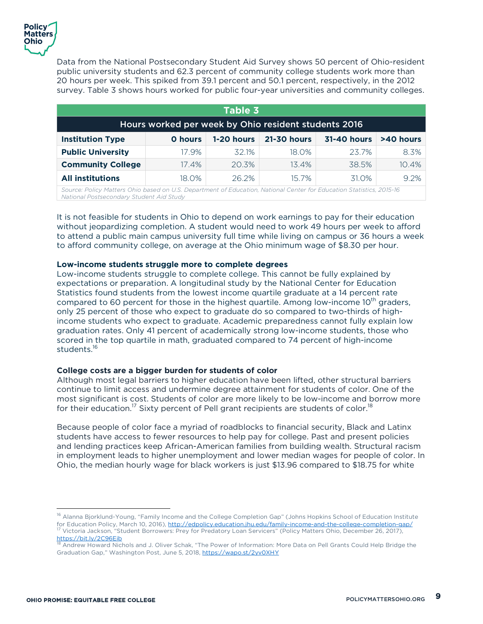

Data from the National Postsecondary Student Aid Survey shows 50 percent of Ohio-resident public university students and 62.3 percent of community college students work more than 20 hours per week. This spiked from 39.1 percent and 50.1 percent, respectively, in the 2012 survey. Table 3 shows hours worked for public four-year universities and community colleges.

| Table 3                                              |                |            |                    |                    |           |
|------------------------------------------------------|----------------|------------|--------------------|--------------------|-----------|
| Hours worked per week by Ohio resident students 2016 |                |            |                    |                    |           |
| <b>Institution Type</b>                              | <b>O</b> hours | 1-20 hours | <b>21-30 hours</b> | <b>31-40 hours</b> | >40 hours |
| <b>Public University</b>                             | 17.9%          | 32.1%      | 18.0%              | 23.7%              | 8.3%      |
| <b>Community College</b>                             | 17.4%          | 20.3%      | 13.4%              | 38.5%              | 10.4%     |
| <b>All institutions</b>                              | 18.0%          | 26.2%      | 15.7%              | 31.0%              | 9.2%      |

*Source: Policy Matters Ohio based on U.S. Department of Education, National Center for Education Statistics, 2015-16 National Postsecondary Student Aid Study*

It is not feasible for students in Ohio to depend on work earnings to pay for their education without jeopardizing completion. A student would need to work 49 hours per week to afford to attend a public main campus university full time while living on campus or 36 hours a week to afford community college, on average at the Ohio minimum wage of \$8.30 per hour.

#### **Low-income students struggle more to complete degrees**

Low-income students struggle to complete college. This cannot be fully explained by expectations or preparation. A longitudinal study by the National Center for Education Statistics found students from the lowest income quartile graduate at a 14 percent rate compared to 60 percent for those in the highest quartile. Among low-income 10<sup>th</sup> graders, only 25 percent of those who expect to graduate do so compared to two-thirds of highincome students who expect to graduate. Academic preparedness cannot fully explain low graduation rates. Only 41 percent of academically strong low-income students, those who scored in the top quartile in math, graduated compared to 74 percent of high-income students.16

#### **College costs are a bigger burden for students of color**

Although most legal barriers to higher education have been lifted, other structural barriers continue to limit access and undermine degree attainment for students of color. One of the most significant is cost. Students of color are more likely to be low-income and borrow more for their education.<sup>17</sup> Sixty percent of Pell grant recipients are students of color.<sup>18</sup>

Because people of color face a myriad of roadblocks to financial security, Black and Latinx students have access to fewer resources to help pay for college. Past and present policies and lending practices keep African-American families from building wealth. Structural racism in employment leads to higher unemployment and lower median wages for people of color. In Ohio, the median hourly wage for black workers is just \$13.96 compared to \$18.75 for white

<sup>&</sup>lt;sup>16</sup> Alanna Bjorklund-Young, "Family Income and the College Completion Gap" (Johns Hopkins School of Education Institute for Education Policy, March 10, 2016), http://edpolicy.education.jhu.edu/family-income-and-the-college-completion-gap/<br><sup>17</sup> Victoria Jackson, "Student Borrowers: Prey for Predatory Loan Servicers" (Policy Matters Ohio, Dec https://bit.ly/2C96Eib

<sup>&</sup>lt;sup>18</sup> Andrew Howard Nichols and J. Oliver Schak, "The Power of Information: More Data on Pell Grants Could Help Bridge the Graduation Gap," Washington Post, June 5, 2018, https://wapo.st/2yv0XHY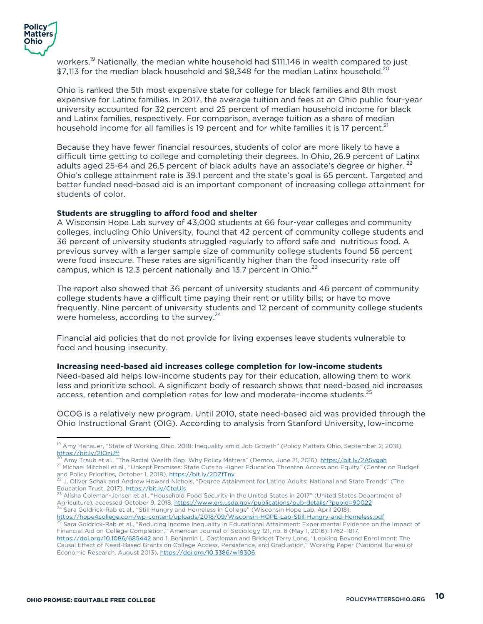

workers.<sup>19</sup> Nationally, the median white household had \$111,146 in wealth compared to just \$7,113 for the median black household and \$8,348 for the median Latinx household.<sup>20</sup>

Ohio is ranked the 5th most expensive state for college for black families and 8th most expensive for Latinx families. In 2017, the average tuition and fees at an Ohio public four-year university accounted for 32 percent and 25 percent of median household income for black and Latinx families, respectively. For comparison, average tuition as a share of median household income for all families is 19 percent and for white families it is 17 percent.<sup>21</sup>

Because they have fewer financial resources, students of color are more likely to have a difficult time getting to college and completing their degrees. In Ohio, 26.9 percent of Latinx adults aged 25-64 and 26.5 percent of black adults have an associate's degree or higher. <sup>22</sup> Ohio's college attainment rate is 39.1 percent and the state's goal is 65 percent. Targeted and better funded need-based aid is an important component of increasing college attainment for students of color.

#### **Students are struggling to afford food and shelter**

A Wisconsin Hope Lab survey of 43,000 students at 66 four-year colleges and community colleges, including Ohio University, found that 42 percent of community college students and 36 percent of university students struggled regularly to afford safe and nutritious food. A previous survey with a larger sample size of community college students found 56 percent were food insecure. These rates are significantly higher than the food insecurity rate off campus, which is 12.3 percent nationally and 13.7 percent in Ohio.<sup>23</sup>

The report also showed that 36 percent of university students and 46 percent of community college students have a difficult time paying their rent or utility bills; or have to move frequently. Nine percent of university students and 12 percent of community college students were homeless, according to the survey.<sup>24</sup>

Financial aid policies that do not provide for living expenses leave students vulnerable to food and housing insecurity.

#### **Increasing need-based aid increases college completion for low-income students**

Need-based aid helps low-income students pay for their education, allowing them to work less and prioritize school. A significant body of research shows that need-based aid increases access, retention and completion rates for low and moderate-income students.<sup>25</sup>

OCOG is a relatively new program. Until 2010, state need-based aid was provided through the Ohio Instructional Grant (OIG). According to analysis from Stanford University, low-income

<sup>&</sup>lt;sup>19</sup> Amy Hanauer, "State of Working Ohio, 2018: Inequality amid Job Growth" (Policy Matters Ohio, September 2, 2018), https://bit.ly/2IOzUff

<sup>&</sup>lt;sup>20</sup> Amy Traub et al., "The Racial Wealth Gap: Why Policy Matters" (Demos, June 21, 2016), https://bit.ly/2A5vgah <sup>21</sup> Michael Mitchell et al., "Unkept Promises: State Cuts to Higher Education Threaten Access and Equity" (Center on Budget and Policy Priorities, October 1, 2018), https://bit.ly/2DZfTny

<sup>&</sup>lt;sup>22</sup> J. Oliver Schak and Andrew Howard Nichols, "Degree Attainment for Latino Adults: National and State Trends" (The<br>Education Trust, 2017), https://bit.ly/CtqUis

 $^{23}$  Alisha Coleman-Jensen et al., "Household Food Security in the United States in 2017" (United States Department of Agriculture), accessed October 9, 2018, https://www.ers.usda.gov/publications/pub-details/?pubid=90022<br><sup>24</sup> Sara Goldrick-Rab et al., "Still Hungry and Homeless in College" (Wisconsin Hope Lab, April 2018),<br>https://hope4co

 $h^5$  Sara Goldrick-Rab et al., "Reducing Income Inequality in Educational Attainment: Experimental Evidence on the Impact of Financial Aid on College Completion," American Journal of Sociology 121, no. 6 (May 1, 2016): 1762–1817,

https://doi.org/10.1086/685442 and 1. Benjamin L. Castleman and Bridget Terry Long, "Looking Beyond Enrollment: The Causal Effect of Need-Based Grants on College Access, Persistence, and Graduation," Working Paper (National Bureau of Economic Research, August 2013), https://doi.org/10.3386/w19306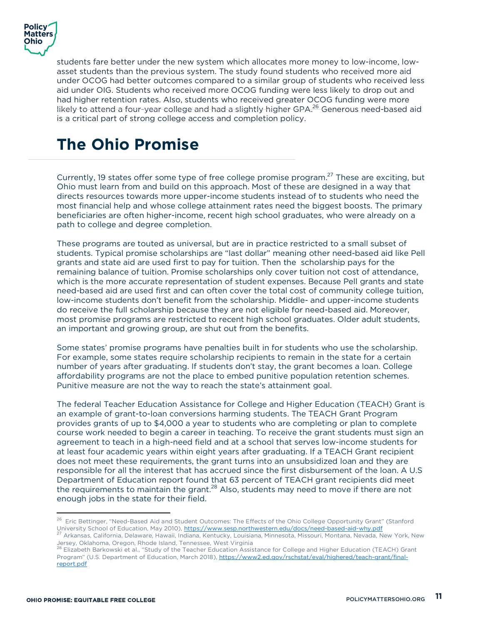

students fare better under the new system which allocates more money to low-income, lowasset students than the previous system. The study found students who received more aid under OCOG had better outcomes compared to a similar group of students who received less aid under OIG. Students who received more OCOG funding were less likely to drop out and had higher retention rates. Also, students who received greater OCOG funding were more likely to attend a four-year college and had a slightly higher GPA.<sup>26</sup> Generous need-based aid is a critical part of strong college access and completion policy.

## **The Ohio Promise**

Currently, 19 states offer some type of free college promise program.<sup>27</sup> These are exciting, but Ohio must learn from and build on this approach. Most of these are designed in a way that directs resources towards more upper-income students instead of to students who need the most financial help and whose college attainment rates need the biggest boosts. The primary beneficiaries are often higher-income, recent high school graduates, who were already on a path to college and degree completion.

These programs are touted as universal, but are in practice restricted to a small subset of students. Typical promise scholarships are "last dollar" meaning other need-based aid like Pell grants and state aid are used first to pay for tuition. Then the scholarship pays for the remaining balance of tuition. Promise scholarships only cover tuition not cost of attendance, which is the more accurate representation of student expenses. Because Pell grants and state need-based aid are used first and can often cover the total cost of community college tuition, low-income students don't benefit from the scholarship. Middle- and upper-income students do receive the full scholarship because they are not eligible for need-based aid. Moreover, most promise programs are restricted to recent high school graduates. Older adult students, an important and growing group, are shut out from the benefits.

Some states' promise programs have penalties built in for students who use the scholarship. For example, some states require scholarship recipients to remain in the state for a certain number of years after graduating. If students don't stay, the grant becomes a loan. College affordability programs are not the place to embed punitive population retention schemes. Punitive measure are not the way to reach the state's attainment goal.

The federal Teacher Education Assistance for College and Higher Education (TEACH) Grant is an example of grant-to-loan conversions harming students. The TEACH Grant Program provides grants of up to \$4,000 a year to students who are completing or plan to complete course work needed to begin a career in teaching. To receive the grant students must sign an agreement to teach in a high-need field and at a school that serves low-income students for at least four academic years within eight years after graduating. If a TEACH Grant recipient does not meet these requirements, the grant turns into an unsubsidized loan and they are responsible for all the interest that has accrued since the first disbursement of the loan. A U.S Department of Education report found that 63 percent of TEACH grant recipients did meet the requirements to maintain the grant.<sup>28</sup> Also, students may need to move if there are not enough jobs in the state for their field.

<sup>&</sup>lt;sup>26</sup> Eric Bettinger, "Need-Based Aid and Student Outcomes: The Effects of the Ohio College Opportunity Grant" (Stanford<br>University School of Education, May 2010), https://www.sesp.northwestern.edu/docs/need-based-aid-why.p

<sup>&</sup>lt;sup>27</sup> Arkansas, California, Delaware, Hawaii, Indiana, Kentucky, Louisiana, Minnesota, Missouri, Montana, Nevada, New York, New<br>Jersey, Oklahoma, Oregon, Rhode Island, Tennessee, West Virginia

<sup>&</sup>lt;sup>28</sup> Elizabeth Barkowski et al., "Study of the Teacher Education Assistance for College and Higher Education (TEACH) Grant Program" (U.S. Department of Education, March 2018), https://www2.ed.gov/rschstat/eval/highered/teach-grant/finalreport.pdf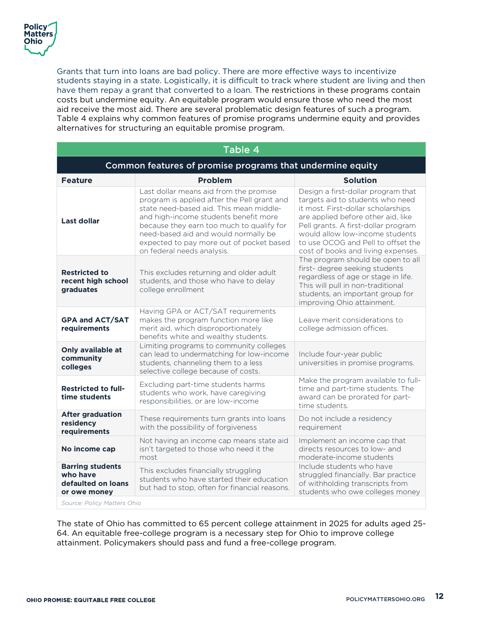

Grants that turn into loans are bad policy. There are more effective ways to incentivize students staying in a state. Logistically, it is difficult to track where student are living and then have them repay a grant that converted to a loan. The restrictions in these programs contain costs but undermine equity. An equitable program would ensure those who need the most aid receive the most aid. There are several problematic design features of such a program. Table 4 explains why common features of promise programs undermine equity and provides alternatives for structuring an equitable promise program.

| Table 4                                                                   |                                                                                                                                                                                                                                                                                                                                          |                                                                                                                                                                                                                                                                                                          |  |  |  |  |
|---------------------------------------------------------------------------|------------------------------------------------------------------------------------------------------------------------------------------------------------------------------------------------------------------------------------------------------------------------------------------------------------------------------------------|----------------------------------------------------------------------------------------------------------------------------------------------------------------------------------------------------------------------------------------------------------------------------------------------------------|--|--|--|--|
| Common features of promise programs that undermine equity                 |                                                                                                                                                                                                                                                                                                                                          |                                                                                                                                                                                                                                                                                                          |  |  |  |  |
| <b>Feature</b>                                                            | <b>Problem</b>                                                                                                                                                                                                                                                                                                                           | <b>Solution</b>                                                                                                                                                                                                                                                                                          |  |  |  |  |
| <b>Last dollar</b>                                                        | Last dollar means aid from the promise<br>program is applied after the Pell grant and<br>state need-based aid. This mean middle-<br>and high-income students benefit more<br>because they earn too much to qualify for<br>need-based aid and would normally be<br>expected to pay more out of pocket based<br>on federal needs analysis. | Design a first-dollar program that<br>targets aid to students who need<br>it most. First-dollar scholarships<br>are applied before other aid, like<br>Pell grants. A first-dollar program<br>would allow low-income students<br>to use OCOG and Pell to offset the<br>cost of books and living expenses. |  |  |  |  |
| <b>Restricted to</b><br>recent high school<br>graduates                   | This excludes returning and older adult<br>students, and those who have to delay<br>college enrollment                                                                                                                                                                                                                                   | The program should be open to all<br>first- degree seeking students<br>regardless of age or stage in life.<br>This will pull in non-traditional<br>students, an important group for<br>improving Ohio attainment.                                                                                        |  |  |  |  |
| <b>GPA and ACT/SAT</b><br>requirements                                    | Having GPA or ACT/SAT requirements<br>makes the program function more like<br>merit aid, which disproportionately<br>benefits white and wealthy students.                                                                                                                                                                                | Leave merit considerations to<br>college admission offices.                                                                                                                                                                                                                                              |  |  |  |  |
| Only available at<br>community<br>colleges                                | Limiting programs to community colleges<br>can lead to undermatching for low-income<br>students, channeling them to a less<br>selective college because of costs.                                                                                                                                                                        | Include four-year public<br>universities in promise programs.                                                                                                                                                                                                                                            |  |  |  |  |
| <b>Restricted to full-</b><br>time students                               | Excluding part-time students harms<br>students who work, have caregiving<br>responsibilities, or are low-income                                                                                                                                                                                                                          | Make the program available to full-<br>time and part-time students. The<br>award can be prorated for part-<br>time students.                                                                                                                                                                             |  |  |  |  |
| <b>After graduation</b><br>residency<br>requirements                      | These requirements turn grants into loans<br>with the possibility of forgiveness                                                                                                                                                                                                                                                         | Do not include a residency<br>requirement                                                                                                                                                                                                                                                                |  |  |  |  |
| No income cap                                                             | Not having an income cap means state aid<br>isn't targeted to those who need it the<br>most                                                                                                                                                                                                                                              | Implement an income cap that<br>directs resources to low- and<br>moderate-income students                                                                                                                                                                                                                |  |  |  |  |
| <b>Barring students</b><br>who have<br>defaulted on loans<br>or owe money | This excludes financially struggling<br>students who have started their education<br>but had to stop, often for financial reasons.                                                                                                                                                                                                       | Include students who have<br>struggled financially. Bar practice<br>of withholding transcripts from<br>students who owe colleges money                                                                                                                                                                   |  |  |  |  |
| Source: Policy Matters Ohio                                               |                                                                                                                                                                                                                                                                                                                                          |                                                                                                                                                                                                                                                                                                          |  |  |  |  |

The state of Ohio has committed to 65 percent college attainment in 2025 for adults aged 25- 64. An equitable free-college program is a necessary step for Ohio to improve college attainment. Policymakers should pass and fund a free-college program.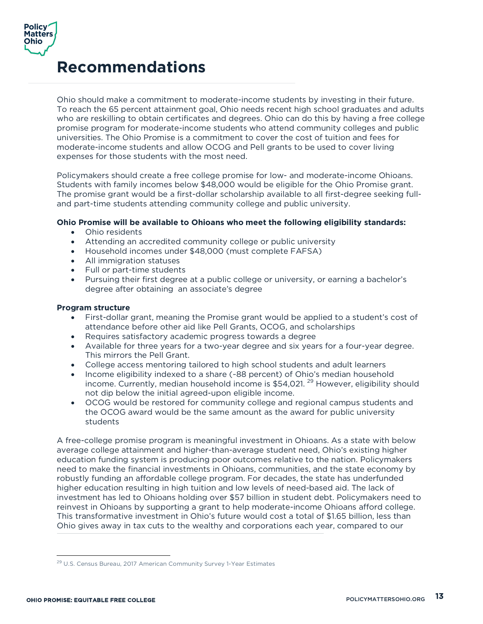

## **Recommendations**

Ohio should make a commitment to moderate-income students by investing in their future. To reach the 65 percent attainment goal, Ohio needs recent high school graduates and adults who are reskilling to obtain certificates and degrees. Ohio can do this by having a free college promise program for moderate-income students who attend community colleges and public universities. The Ohio Promise is a commitment to cover the cost of tuition and fees for moderate-income students and allow OCOG and Pell grants to be used to cover living expenses for those students with the most need.

Policymakers should create a free college promise for low- and moderate-income Ohioans. Students with family incomes below \$48,000 would be eligible for the Ohio Promise grant. The promise grant would be a first-dollar scholarship available to all first-degree seeking fulland part-time students attending community college and public university.

#### **Ohio Promise will be available to Ohioans who meet the following eligibility standards:**

- Ohio residents
- Attending an accredited community college or public university
- Household incomes under \$48,000 (must complete FAFSA)
- All immigration statuses
- Full or part-time students
- Pursuing their first degree at a public college or university, or earning a bachelor's degree after obtaining an associate's degree

#### **Program structure**

- First-dollar grant, meaning the Promise grant would be applied to a student's cost of attendance before other aid like Pell Grants, OCOG, and scholarships
- Requires satisfactory academic progress towards a degree
- Available for three years for a two-year degree and six years for a four-year degree. This mirrors the Pell Grant.
- College access mentoring tailored to high school students and adult learners
- Income eligibility indexed to a share (~88 percent) of Ohio's median household income. Currently, median household income is  $$54,021$ . <sup>29</sup> However, eligibility should not dip below the initial agreed-upon eligible income.
- OCOG would be restored for community college and regional campus students and the OCOG award would be the same amount as the award for public university students

A free-college promise program is meaningful investment in Ohioans. As a state with below average college attainment and higher-than-average student need, Ohio's existing higher education funding system is producing poor outcomes relative to the nation. Policymakers need to make the financial investments in Ohioans, communities, and the state economy by robustly funding an affordable college program. For decades, the state has underfunded higher education resulting in high tuition and low levels of need-based aid. The lack of investment has led to Ohioans holding over \$57 billion in student debt. Policymakers need to reinvest in Ohioans by supporting a grant to help moderate-income Ohioans afford college. This transformative investment in Ohio's future would cost a total of \$1.65 billion, less than Ohio gives away in tax cuts to the wealthy and corporations each year, compared to our

<sup>&</sup>lt;sup>29</sup> U.S. Census Bureau, 2017 American Community Survey 1-Year Estimates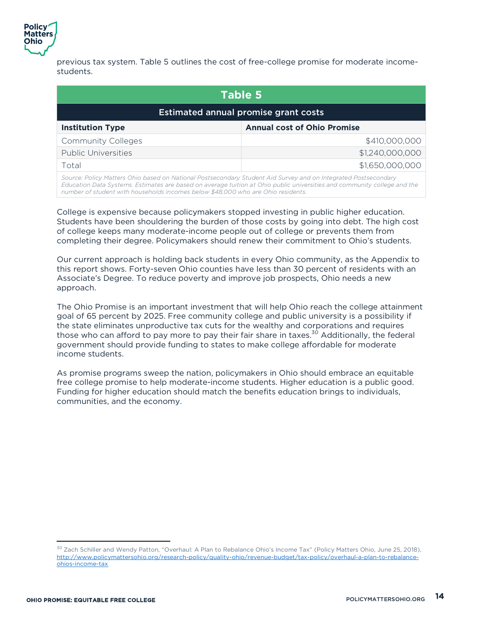

previous tax system. Table 5 outlines the cost of free-college promise for moderate incomestudents.

| Table 5                                                                                                        |                 |  |  |
|----------------------------------------------------------------------------------------------------------------|-----------------|--|--|
| <b>Estimated annual promise grant costs</b>                                                                    |                 |  |  |
| <b>Institution Type</b><br><b>Annual cost of Ohio Promise</b>                                                  |                 |  |  |
| <b>Community Colleges</b>                                                                                      | \$410,000,000   |  |  |
| \$1,240,000,000<br><b>Public Universities</b>                                                                  |                 |  |  |
| Total                                                                                                          | \$1,650,000,000 |  |  |
| Source: Policy Matters Ohio based on National Postsecondary Student Aid Survey and on Integrated Postsecondary |                 |  |  |

*Education Data Systems. Estimates are based on average tuition at Ohio public universities and community college and the number of student with households incomes below \$48,000 who are Ohio residents.* 

College is expensive because policymakers stopped investing in public higher education. Students have been shouldering the burden of those costs by going into debt. The high cost of college keeps many moderate-income people out of college or prevents them from completing their degree. Policymakers should renew their commitment to Ohio's students.

Our current approach is holding back students in every Ohio community, as the Appendix to this report shows. Forty-seven Ohio counties have less than 30 percent of residents with an Associate's Degree. To reduce poverty and improve job prospects, Ohio needs a new approach.

The Ohio Promise is an important investment that will help Ohio reach the college attainment goal of 65 percent by 2025. Free community college and public university is a possibility if the state eliminates unproductive tax cuts for the wealthy and corporations and requires those who can afford to pay more to pay their fair share in taxes.<sup>30</sup> Additionally, the federal government should provide funding to states to make college affordable for moderate income students.

As promise programs sweep the nation, policymakers in Ohio should embrace an equitable free college promise to help moderate-income students. Higher education is a public good. Funding for higher education should match the benefits education brings to individuals, communities, and the economy.

 $\overline{a}$ <sup>30</sup> Zach Schiller and Wendy Patton, "Overhaul: A Plan to Rebalance Ohio's Income Tax" (Policy Matters Ohio, June 25, 2018), http://www.policymattersohio.org/research-policy/quality-ohio/revenue-budget/tax-policy/overhaul-a-plan-to-rebalanceohios-income-tax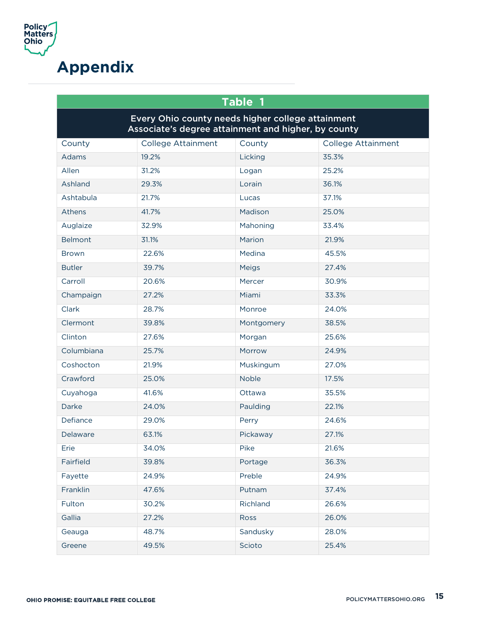

## **Appendix**

| Table 1                                                                                                  |                    |              |                           |  |  |
|----------------------------------------------------------------------------------------------------------|--------------------|--------------|---------------------------|--|--|
| Every Ohio county needs higher college attainment<br>Associate's degree attainment and higher, by county |                    |              |                           |  |  |
| County                                                                                                   | College Attainment | County       | <b>College Attainment</b> |  |  |
| Adams                                                                                                    | 19.2%              | Licking      | 35.3%                     |  |  |
| Allen                                                                                                    | 31.2%              | Logan        | 25.2%                     |  |  |
| Ashland                                                                                                  | 29.3%              | Lorain       | 36.1%                     |  |  |
| Ashtabula                                                                                                | 21.7%              | Lucas        | 37.1%                     |  |  |
| Athens                                                                                                   | 41.7%              | Madison      | 25.0%                     |  |  |
| Auglaize                                                                                                 | 32.9%              | Mahoning     | 33.4%                     |  |  |
| <b>Belmont</b>                                                                                           | 31.1%              | Marion       | 21.9%                     |  |  |
| <b>Brown</b>                                                                                             | 22.6%              | Medina       | 45.5%                     |  |  |
| <b>Butler</b>                                                                                            | 39.7%              | Meigs        | 27.4%                     |  |  |
| Carroll                                                                                                  | 20.6%              | Mercer       | 30.9%                     |  |  |
| Champaign                                                                                                | 27.2%              | Miami        | 33.3%                     |  |  |
| Clark                                                                                                    | 28.7%              | Monroe       | 24.0%                     |  |  |
| Clermont                                                                                                 | 39.8%              | Montgomery   | 38.5%                     |  |  |
| Clinton                                                                                                  | 27.6%              | Morgan       | 25.6%                     |  |  |
| Columbiana                                                                                               | 25.7%              | Morrow       | 24.9%                     |  |  |
| Coshocton                                                                                                | 21.9%              | Muskingum    | 27.0%                     |  |  |
| Crawford                                                                                                 | 25.0%              | <b>Noble</b> | 17.5%                     |  |  |
| Cuyahoga                                                                                                 | 41.6%              | Ottawa       | 35.5%                     |  |  |
| Darke                                                                                                    | 24.0%              | Paulding     | 22.1%                     |  |  |
| Defiance                                                                                                 | 29.0%              | Perry        | 24.6%                     |  |  |
| Delaware                                                                                                 | 63.1%              | Pickaway     | 27.1%                     |  |  |
| Erie                                                                                                     | 34.0%              | Pike         | 21.6%                     |  |  |
| Fairfield                                                                                                | 39.8%              | Portage      | 36.3%                     |  |  |
| Fayette                                                                                                  | 24.9%              | Preble       | 24.9%                     |  |  |
| Franklin                                                                                                 | 47.6%              | Putnam       | 37.4%                     |  |  |
| Fulton                                                                                                   | 30.2%              | Richland     | 26.6%                     |  |  |
| Gallia                                                                                                   | 27.2%              | Ross         | 26.0%                     |  |  |
| Geauga                                                                                                   | 48.7%              | Sandusky     | 28.0%                     |  |  |
| Greene                                                                                                   | 49.5%              | Scioto       | 25.4%                     |  |  |